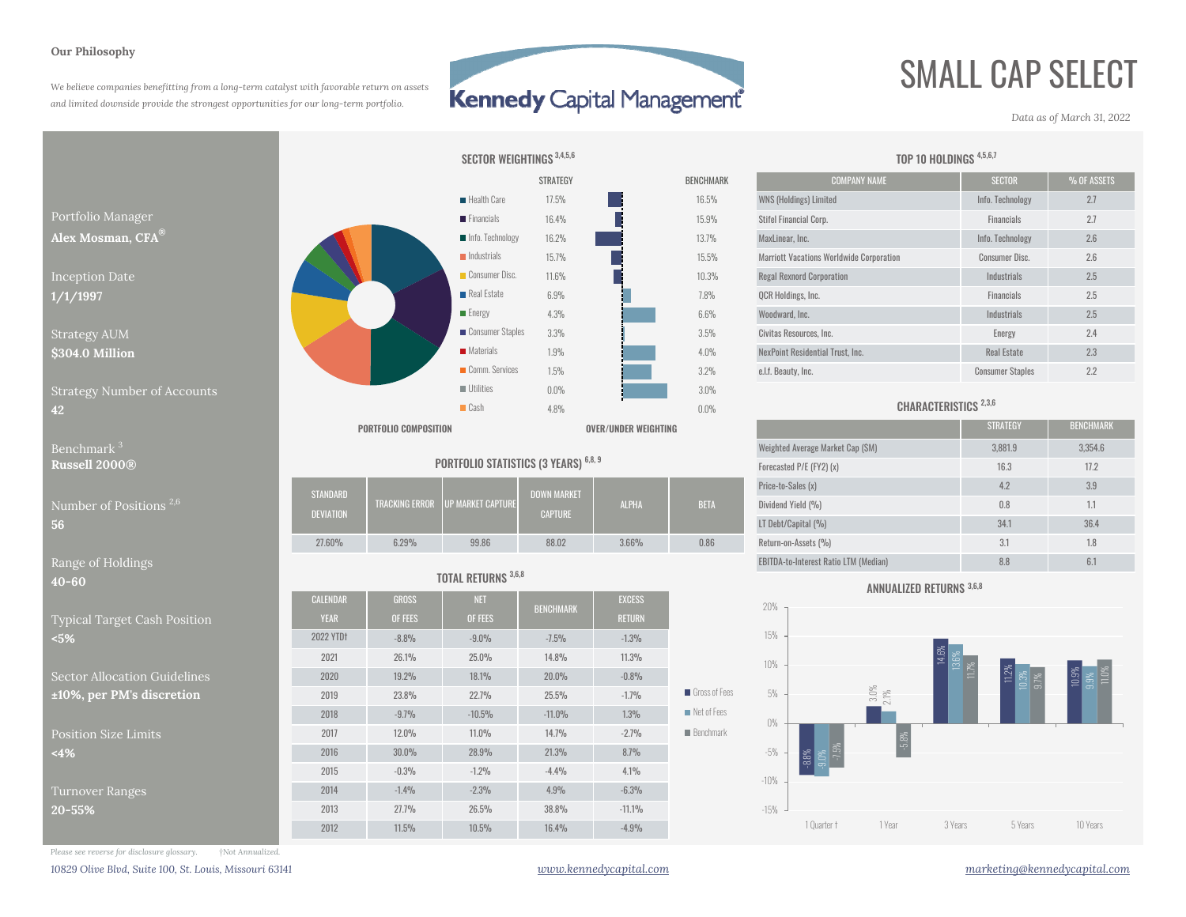#### **Our Philosophy**

*We believe companies benefitting from a long-term catalyst with favorable return on assets and limited downside provide the strongest opportunities for our long-term portfolio.*

## **Kennedy Capital Management**

 $0.0%$ 

STRATEGY

17.5%

16.4%

16.2%

# SMALL CAP SELECT

*Data as of March 31, 2022*



### Benchmark**Russell 2000®**

**40-60**

Typical Target Cash Position **<5%**

Sector Allocation Guidelines $±10\%$ , per PM's discretion

Position Size Limits**<4%**

Turnover Ranges **20-55%**



| Jumber of Positions $^{2,6}$ .       | STANDARD<br><b>DEVIATION</b> |       | TRACKING ERROR UP MARKET CAPTURE | <b>DOWN MARKET</b><br><b>CAPTURE</b> | <b>ALPHA</b> | <b>BETA</b> | Price-to-Sales (x)                                                                                                                                                                                                             |                  | 3.9           |
|--------------------------------------|------------------------------|-------|----------------------------------|--------------------------------------|--------------|-------------|--------------------------------------------------------------------------------------------------------------------------------------------------------------------------------------------------------------------------------|------------------|---------------|
|                                      |                              |       |                                  |                                      |              |             | Dividend Yield (%)                                                                                                                                                                                                             | 0.8              | 1.1           |
|                                      |                              |       |                                  |                                      |              |             | LT Debt/Capital (%)                                                                                                                                                                                                            | 34.1             | 36.4          |
|                                      | 27.60%                       | 6.29% | 99.86                            | 88.02                                | 3.66%        | 0.86        | Return-on-Assets (%)                                                                                                                                                                                                           | 21<br>$\cup$ . I | 1.8           |
| <b><i><u>A</u></i> 1 1 1 1 1 1 1</b> |                              |       |                                  |                                      |              |             | construction of the contract of the contract of the contract of the contract of the contract of the contract of the contract of the contract of the contract of the contract of the contract of the contract of the contract o | $\sim$ $\sim$    | $\sim$ $\sim$ |

#### TOTAL RETURNS 3,6,8

| −ທ∪                        | $19111$ $11111$  |              |            |                  |               |                            |  |  |
|----------------------------|------------------|--------------|------------|------------------|---------------|----------------------------|--|--|
|                            | <b>CALENDAR</b>  | <b>GROSS</b> | <b>NET</b> | <b>BENCHMARK</b> | <b>EXCESS</b> |                            |  |  |
| pical Target Cash Position | <b>YEAR</b>      | OF FEES      | OF FEES    |                  | <b>RETURN</b> |                            |  |  |
| %                          | <b>2022 YTDt</b> | $-8.8%$      | $-9.0%$    | $-7.5%$          | $-1.3%$       |                            |  |  |
|                            | 2021             | 26.1%        | 25.0%      | 14.8%            | 11.3%         |                            |  |  |
| ctor Allocation Guidelines | 2020             | 19.2%        | 18.1%      | 20.0%            | $-0.8%$       |                            |  |  |
| 0%, per PM's discretion    | 2019             | 23.8%        | 22.7%      | 25.5%            | $-1.7%$       | Gross of Fees              |  |  |
|                            | 2018             | $-9.7%$      | $-10.5%$   | $-11.0%$         | 1.3%          | $\blacksquare$ Net of Fees |  |  |
| sition Size Limits         | 2017             | $12.0\%$     | $11.0\%$   | 14.7%            | $-2.7%$       | <b>Benchmark</b>           |  |  |
| %                          | 2016             | 30.0%        | 28.9%      | 21.3%            | 8.7%          |                            |  |  |
|                            | 2015             | $-0.3%$      | $-1.2%$    | $-4.4%$          | 4.1%          |                            |  |  |
| rnover Ranges              | 2014             | $-1.4%$      | $-2.3%$    | 4.9%             | $-6.3%$       |                            |  |  |
| $-55%$                     | 2013             | 27.7%        | 26.5%      | 38.8%            | $-11.1%$      |                            |  |  |
|                            | 2012             | 11.5%        | 10.5%      | 16.4%            | $-4.9%$       |                            |  |  |
|                            |                  |              |            |                  |               |                            |  |  |

| TEGY           | <b>BENCHMARK</b> | <b>COMPANY NAME</b>                             | <b>SECTOR</b>           | % OF ASSETS |
|----------------|------------------|-------------------------------------------------|-------------------------|-------------|
| $5\%$          | 16.5%            | <b>WNS (Holdings) Limited</b>                   | Info. Technology        | 2.7         |
| $1\%$          | 15.9%            | Stifel Financial Corp.                          | <b>Financials</b>       | 2.7         |
| $2\%$          | 13.7%            | MaxLinear, Inc.                                 | Info. Technology        | 2.6         |
| $1\%$          | 15.5%            | <b>Marriott Vacations Worldwide Corporation</b> | <b>Consumer Disc.</b>   | 2.6         |
| $\frac{30}{6}$ | 10.3%            | <b>Regal Rexnord Corporation</b>                | Industrials             | 2.5         |
| $\frac{0}{0}$  | 7.8%             | QCR Holdings, Inc.                              | <b>Financials</b>       | 2.5         |
| $\frac{0}{0}$  | 6.6%             | Woodward, Inc.                                  | Industrials             | 2.5         |
| $\frac{9}{6}$  | 3.5%             | Civitas Resources, Inc.                         | Energy                  | 2.4         |
| $\frac{0}{0}$  | 4.0%             | NexPoint Residential Trust. Inc.                | <b>Real Estate</b>      | 2.3         |
| $\%$           | 3.2%             | e.l.f. Beauty, Inc.                             | <b>Consumer Staples</b> | 2.2         |

TOP 10 HOLDINGS 4,5,6,7

### CHARACTERISTICS<sup>2,3,6</sup>

|                                          |                                       | <b>PORTFOLIO COMPOSITION</b> |                                         |                                      | OVER/UNDER WEIGHTING |             |                                              | <b>STRATEGY</b> | <b>BENCHMARK</b> |
|------------------------------------------|---------------------------------------|------------------------------|-----------------------------------------|--------------------------------------|----------------------|-------------|----------------------------------------------|-----------------|------------------|
| Benchmark $^3$                           | PORTFOLIO STATISTICS (3 YEARS) 6,8, 9 |                              |                                         |                                      |                      |             | Weighted Average Market Cap (SM)             | 3,881.9         | 3,354.6          |
| <b>Russell 2000®</b>                     |                                       |                              |                                         |                                      |                      |             | Forecasted P/E (FY2) (x)                     | 16.3            | 17.2             |
| Number of Positions <sup>2,6</sup><br>56 | <b>STANDARD</b><br><b>DEVIATION</b>   |                              | <b>TRACKING ERROR UP MARKET CAPTURE</b> | <b>DOWN MARKET</b><br><b>CAPTURE</b> | <b>ALPHA</b>         | <b>BETA</b> | Price-to-Sales (x)                           | 4.2             | 3.9              |
|                                          |                                       |                              |                                         |                                      |                      |             | Dividend Yield (%)                           | 0.8             | 1.1              |
|                                          |                                       |                              |                                         |                                      |                      |             | LT Debt/Capital (%)                          | 34.1            | 36.4             |
|                                          | 27.60%                                | 6.29%                        | 99.86                                   | 88.02                                | 3.66%                | 0.86        | Return-on-Assets (%)                         | 3.1             | 1.8              |
| Range of Holdings                        |                                       |                              |                                         |                                      |                      |             | <b>EBITDA-to-Interest Ratio LTM (Median)</b> | 8.8             | 6.1              |

#### ANNUALIZED RETURNS 3,6,8



*Please see reverse for disclosure glossary. †Not Annualized.*

*10829 Olive Blvd, Suite 100, St. Louis, Missouri 63141 www.kennedycapital.com marketing@kennedycapital.com*